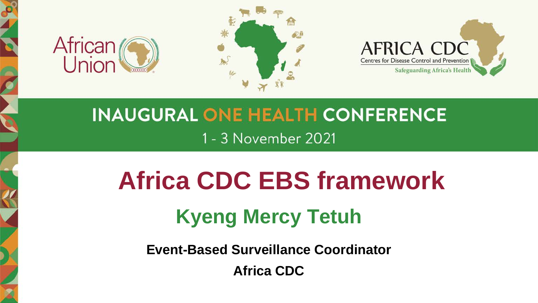





### **INAUGURAL ONE HEALTH CONFERENCE** 1 - 3 November 2021

## **Africa CDC EBS framework**

### **Kyeng Mercy Tetuh**

**Event-Based Surveillance Coordinator**

**Africa CDC**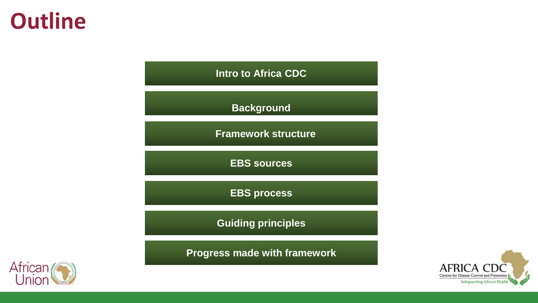### **Outline**

**Intro to Africa CDC**

**Background**

**Framework structure**

**EBS sources**

**EBS process**

**Guiding principles**

**Progress made with framework**



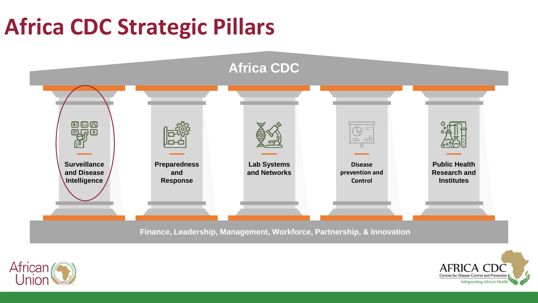### **Africa CDC Strategic Pillars**





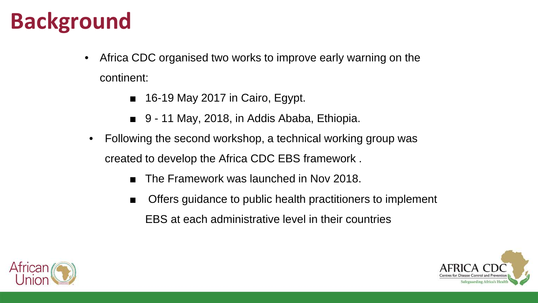### **Background**

- Africa CDC organised two works to improve early warning on the continent:
	- 16-19 May 2017 in Cairo, Egypt.
	- 9 11 May, 2018, in Addis Ababa, Ethiopia.
- Following the second workshop, a technical working group was created to develop the Africa CDC EBS framework .
	- The Framework was launched in Nov 2018.
	- Offers guidance to public health practitioners to implement EBS at each administrative level in their countries



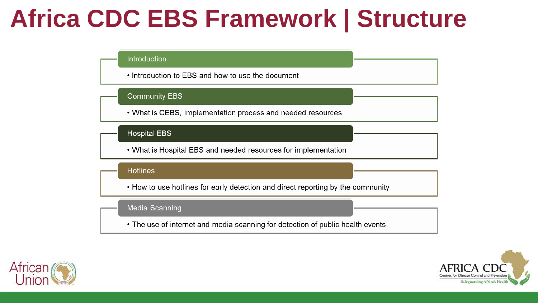### **Africa CDC EBS Framework | Structure**

#### Introduction

• Introduction to EBS and how to use the document

#### **Community EBS**

• What is CEBS, implementation process and needed resources

#### **Hospital EBS**

• What is Hospital EBS and needed resources for implementation

#### **Hotlines**

• How to use hotlines for early detection and direct reporting by the community

#### Media Scanning

• The use of internet and media scanning for detection of public health events



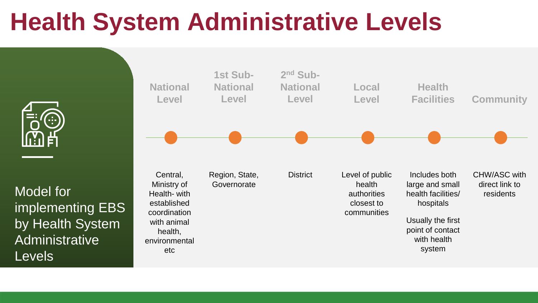### **Health System Administrative Levels**



implementing EBS by Health System Administrative **Levels** 

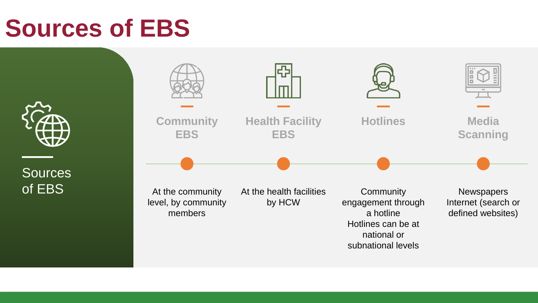### **Sources of EBS**



**Sources** of EBS

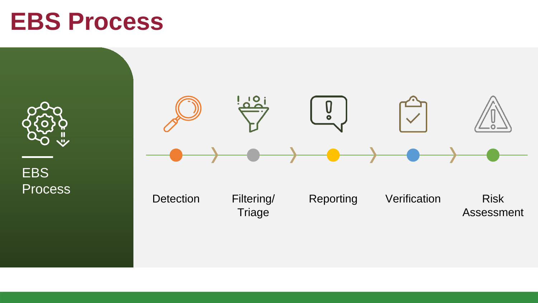### **EBS Process**



EBS Process

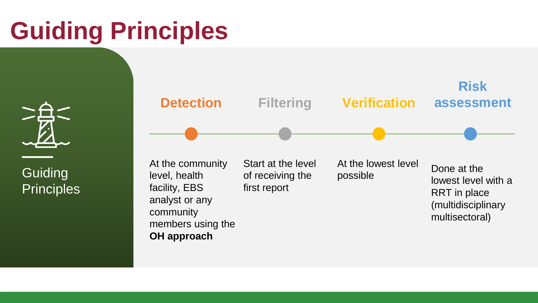### **Guiding Principles**

**Guiding Principles** 

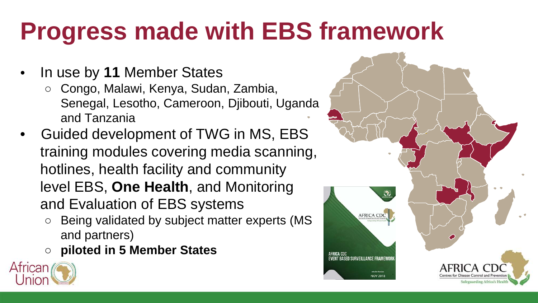### **Progress made with EBS framework**

- In use by **11** Member States
	- Congo, Malawi, Kenya, Sudan, Zambia, Senegal, Lesotho, Cameroon, Djibouti, Uganda and Tanzania
- Guided development of TWG in MS, EBS training modules covering media scanning, hotlines, health facility and community level EBS, **One Health**, and Monitoring and Evaluation of EBS systems
	- Being validated by subject matter experts (MS and partners)
	- **piloted in 5 Member States**